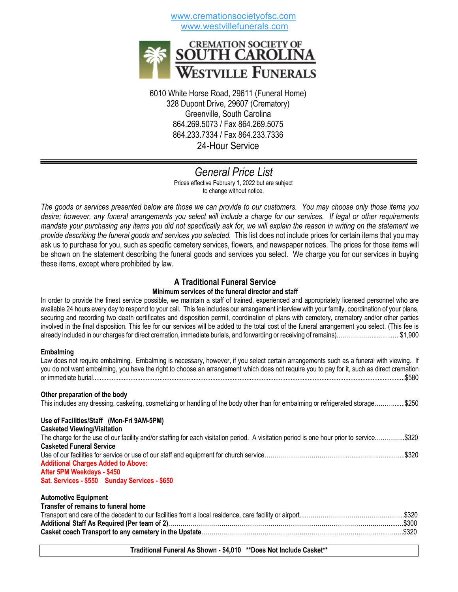www.cremationsocietyofsc.com www.westvillefunerals.com



6010 White Horse Road, 29611 (Funeral Home) 328 Dupont Drive, 29607 (Crematory) Greenville, South Carolina 864.269.5073 / Fax 864.269.5075 864.233.7334 / Fax 864.233.7336 24-Hour Service

## *General Price List* Prices effective February 1, 2022 but are subject to change without notice.

*The goods or services presented below are those we can provide to our customers. You may choose only those items you desire; however, any funeral arrangements you select will include a charge for our services. If legal or other requirements mandate your purchasing any items you did not specifically ask for, we will explain the reason in writing on the statement we provide describing the funeral goods and services you selected.* This list does not include prices for certain items that you may ask us to purchase for you, such as specific cemetery services, flowers, and newspaper notices. The prices for those items will be shown on the statement describing the funeral goods and services you select. We charge you for our services in buying these items, except where prohibited by law.

# **A Traditional Funeral Service**

## **Minimum services of the funeral director and staff**

In order to provide the finest service possible, we maintain a staff of trained, experienced and appropriately licensed personnel who are available 24 hours every day to respond to your call. This fee includes our arrangement interview with your family, coordination of your plans, securing and recording two death certificates and disposition permit, coordination of plans with cemetery, crematory and/or other parties involved in the final disposition. This fee for our services will be added to the total cost of the funeral arrangement you select. (This fee is already included in our charges for direct cremation, immediate burials, and forwarding or receiving of remains)………………..……..… \$1,900

## **Embalming**

Law does not require embalming. Embalming is necessary, however, if you select certain arrangements such as a funeral with viewing. If you do not want embalming, you have the right to choose an arrangement which does not require you to pay for it, such as direct cremation or immediate burial.......................................................................................................................................................................................\$580

## **Other preparation of the body**

This includes any dressing, casketing, cosmetizing or handling of the body other than for embalming or refrigerated storage……….......\$250

#### **Use of Facilities/Staff (Mon-Fri 9AM-5PM) Casketed Viewing/Visitation**

| <b>UNDER THE WILLY FISHANDIT</b>                                                                                                         |  |
|------------------------------------------------------------------------------------------------------------------------------------------|--|
| The charge for the use of our facility and/or staffing for each visitation period. A visitation period is one hour prior to service\$320 |  |
| <b>Casketed Funeral Service</b>                                                                                                          |  |
|                                                                                                                                          |  |
| <b>Additional Charges Added to Above:</b>                                                                                                |  |
| After 5PM Weekdays - \$450                                                                                                               |  |
| Sat. Services - \$550 Sunday Services - \$650                                                                                            |  |

## **Automotive Equipment**

| Transfer of remains to funeral home |  |
|-------------------------------------|--|
|                                     |  |
|                                     |  |
|                                     |  |

## **Traditional Funeral As Shown - \$4,010 \*\*Does Not Include Casket\*\***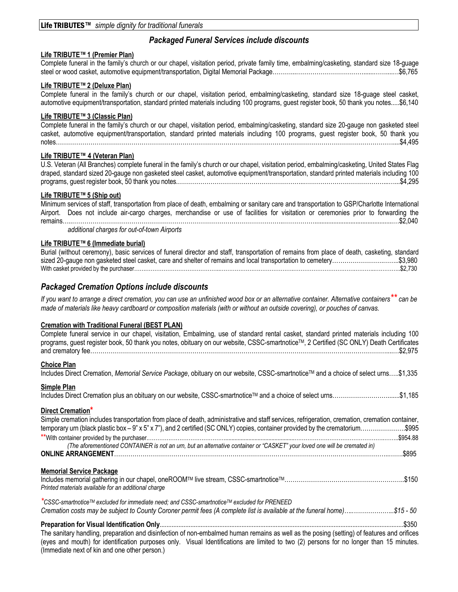# *Packaged Funeral Services include discounts*

## **Life TRIBUTE™ 1 (Premier Plan)**

Complete funeral in the family's church or our chapel, visitation period, private family time, embalming/casketing, standard size 18-guage steel or wood casket, automotive equipment/transportation, Digital Memorial Package………...……………………………......……....…\$6,765

## **Life TRIBUTE™ 2 (Deluxe Plan)**

Complete funeral in the family's church or our chapel, visitation period, embalming/casketing, standard size 18-guage steel casket, automotive equipment/transportation, standard printed materials including 100 programs, guest register book, 50 thank you notes.....\$6,140

## **Life TRIBUTE™ 3 (Classic Plan)**

Complete funeral in the family's church or our chapel, visitation period, embalming/casketing, standard size 20-gauge non gasketed steel casket, automotive equipment/transportation, standard printed materials including 100 programs, guest register book, 50 thank you notes…………………………………………………………………………………………………………………………………………………....\$4,495

## **Life TRIBUTE™ 4 (Veteran Plan)**

U.S. Veteran (All Branches) complete funeral in the family's church or our chapel, visitation period, embalming/casketing, United States Flag draped, standard sized 20-gauge non gasketed steel casket, automotive equipment/transportation, standard printed materials including 100 programs, guest register book, 50 thank you notes.……………………………………………………..…………………………………...…...\$4,295

## **Life TRIBUTE™ 5 (Ship out)**

Minimum services of staff, transportation from place of death, embalming or sanitary care and transportation to GSP/Charlotte International Airport. Does not include air-cargo charges, merchandise or use of facilities for visitation or ceremonies prior to forwarding the remains…..…………………………………………………………………………………………..……………..............................................…\$2,040

*additional charges for out-of-town Airports*

## **Life TRIBUTE™ 6 (Immediate burial)**

Burial (without ceremony), basic services of funeral director and staff, transportation of remains from place of death, casketing, standard sized 20-gauge non gasketed steel casket, care and shelter of remains and local transportation to cemetery…………………………………………\$3,980 With casket provided by the purchaser………………………………………..………………………………….…………………………….………..…………..\$2,730

## *Packaged Cremation Options include discounts*

*If you want to arrange a direct cremation, you can use an unfinished wood box or an alternative container. Alternative containers\*\* can be made of materials like heavy cardboard or composition materials (with or without an outside covering), or pouches of canvas.*

## **Cremation with Traditional Funeral (BEST PLAN)**

| Complete funeral service in our chapel, visitation, Embalming, use of standard rental casket, standard printed materials including 100<br>programs, guest register book, 50 thank you notes, obituary on our website, CSSC-smartnotice™, 2 Certified (SC ONLY) Death Certificates |
|-----------------------------------------------------------------------------------------------------------------------------------------------------------------------------------------------------------------------------------------------------------------------------------|
| <b>Choice Plan</b>                                                                                                                                                                                                                                                                |
| Includes Direct Cremation, Memorial Service Package, obituary on our website, CSSC-smartnotice™ and a choice of select urns\$1,335                                                                                                                                                |
| Simple Plan                                                                                                                                                                                                                                                                       |
| Includes Direct Cremation plus an obituary on our website, CSSC-smartnotice™ and a choice of select urns\$1,185                                                                                                                                                                   |
| Direct Cremation*                                                                                                                                                                                                                                                                 |
| Simple cremation includes transportation from place of death, administrative and staff services, refrigeration, cremation, cremation container,                                                                                                                                   |
| temporary urn (black plastic box – 9" x 5" x 7"), and 2 certified (SC ONLY) copies, container provided by the crematorium\$995                                                                                                                                                    |
| \$954.88                                                                                                                                                                                                                                                                          |
| (The aforementioned CONTAINER is not an urn, but an alternative container or "CASKET" your loved one will be cremated in)                                                                                                                                                         |
|                                                                                                                                                                                                                                                                                   |
| <b>Memorial Service Package</b>                                                                                                                                                                                                                                                   |
| \$150<br>Printed materials available for an additional charge                                                                                                                                                                                                                     |
| *CSSC-smartnotice™ excluded for immediate need; and CSSC-smartnotice™ excluded for PRENEED                                                                                                                                                                                        |
| Cremation costs may be subject to County Coroner permit fees (A complete list is available at the funeral home)\$15 - 50                                                                                                                                                          |
|                                                                                                                                                                                                                                                                                   |
| The sanitary handling, preparation and disinfection of non-embalmed human remains as well as the posing (setting) of features and orifices                                                                                                                                        |
| (eyes and mouth) for identification purposes only. Visual Identifications are limited to two (2) persons for no longer than 15 minutes.<br>(Immediate next of kin and one other person.)                                                                                          |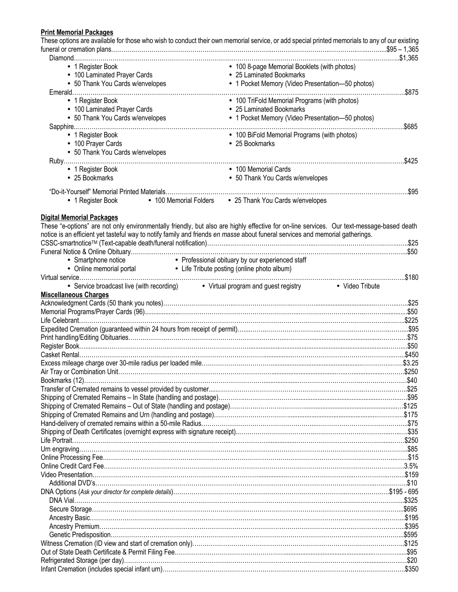# **Print Memorial Packages**

|                                                                                                                                                  | These options are available for those who wish to conduct their own memorial service, or add special printed memorials to any of our existing |
|--------------------------------------------------------------------------------------------------------------------------------------------------|-----------------------------------------------------------------------------------------------------------------------------------------------|
|                                                                                                                                                  |                                                                                                                                               |
|                                                                                                                                                  |                                                                                                                                               |
| • 1 Register Book                                                                                                                                | • 100 8-page Memorial Booklets (with photos)                                                                                                  |
| • 100 Laminated Prayer Cards                                                                                                                     | • 25 Laminated Bookmarks                                                                                                                      |
| • 50 Thank You Cards w/envelopes                                                                                                                 | • 1 Pocket Memory (Video Presentation-50 photos)                                                                                              |
|                                                                                                                                                  | .\$875                                                                                                                                        |
| • 1 Register Book                                                                                                                                | • 100 TriFold Memorial Programs (with photos)                                                                                                 |
| • 100 Laminated Prayer Cards                                                                                                                     | • 25 Laminated Bookmarks                                                                                                                      |
| • 50 Thank You Cards w/envelopes                                                                                                                 | • 1 Pocket Memory (Video Presentation-50 photos)                                                                                              |
|                                                                                                                                                  | .\$685                                                                                                                                        |
| • 1 Register Book                                                                                                                                | • 100 BiFold Memorial Programs (with photos)                                                                                                  |
| • 100 Prayer Cards                                                                                                                               | • 25 Bookmarks                                                                                                                                |
| • 50 Thank You Cards w/envelopes                                                                                                                 |                                                                                                                                               |
|                                                                                                                                                  |                                                                                                                                               |
| • 1 Register Book                                                                                                                                | • 100 Memorial Cards                                                                                                                          |
| • 25 Bookmarks                                                                                                                                   | • 50 Thank You Cards w/envelopes                                                                                                              |
|                                                                                                                                                  |                                                                                                                                               |
| • 1 Register Book                                                                                                                                | • 100 Memorial Folders • 25 Thank You Cards w/envelopes                                                                                       |
|                                                                                                                                                  |                                                                                                                                               |
| <b>Digital Memorial Packages</b>                                                                                                                 |                                                                                                                                               |
|                                                                                                                                                  | These "e-options" are not only environmentally friendly, but also are highly effective for on-line services. Our text-message-based death     |
| notice is an efficient yet tasteful way to notify family and friends en masse about funeral services and memorial gatherings.                    |                                                                                                                                               |
|                                                                                                                                                  |                                                                                                                                               |
|                                                                                                                                                  |                                                                                                                                               |
|                                                                                                                                                  |                                                                                                                                               |
| • Smartphone notice <b>•</b> Professional obituary by our experienced staff • Online memorial portal • Life Tribute posting (online photo album) |                                                                                                                                               |
|                                                                                                                                                  |                                                                                                                                               |
| • Service broadcast live (with recording) • Virtual program and guest registry • Video Tribute                                                   |                                                                                                                                               |
| <b>Miscellaneous Charges</b>                                                                                                                     |                                                                                                                                               |
|                                                                                                                                                  |                                                                                                                                               |
|                                                                                                                                                  |                                                                                                                                               |
|                                                                                                                                                  |                                                                                                                                               |
|                                                                                                                                                  |                                                                                                                                               |
|                                                                                                                                                  |                                                                                                                                               |
|                                                                                                                                                  |                                                                                                                                               |
|                                                                                                                                                  |                                                                                                                                               |
|                                                                                                                                                  |                                                                                                                                               |
|                                                                                                                                                  | \$250                                                                                                                                         |
|                                                                                                                                                  |                                                                                                                                               |
|                                                                                                                                                  |                                                                                                                                               |
|                                                                                                                                                  |                                                                                                                                               |
|                                                                                                                                                  |                                                                                                                                               |
|                                                                                                                                                  |                                                                                                                                               |
|                                                                                                                                                  |                                                                                                                                               |
|                                                                                                                                                  |                                                                                                                                               |
|                                                                                                                                                  |                                                                                                                                               |
|                                                                                                                                                  |                                                                                                                                               |
|                                                                                                                                                  |                                                                                                                                               |
|                                                                                                                                                  |                                                                                                                                               |
|                                                                                                                                                  |                                                                                                                                               |
|                                                                                                                                                  |                                                                                                                                               |
|                                                                                                                                                  |                                                                                                                                               |
|                                                                                                                                                  |                                                                                                                                               |
|                                                                                                                                                  |                                                                                                                                               |
|                                                                                                                                                  |                                                                                                                                               |
|                                                                                                                                                  |                                                                                                                                               |
|                                                                                                                                                  |                                                                                                                                               |
|                                                                                                                                                  |                                                                                                                                               |
|                                                                                                                                                  |                                                                                                                                               |
|                                                                                                                                                  |                                                                                                                                               |

Infant Cremation (includes special infant urn)………………………………………………………………………………………………………..\$350